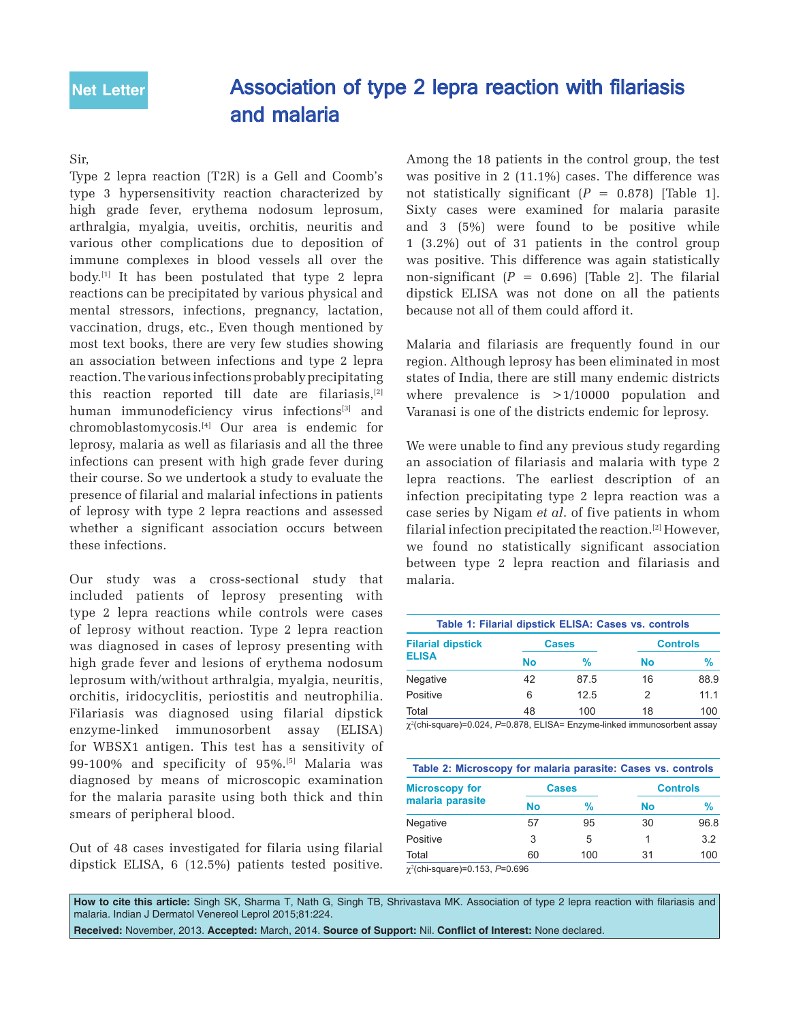## Association of type 2 lepra reaction with filariasis and malaria

## Sir,

Type 2 lepra reaction (T2R) is a Gell and Coomb's type 3 hypersensitivity reaction characterized by high grade fever, erythema nodosum leprosum, arthralgia, myalgia, uveitis, orchitis, neuritis and various other complications due to deposition of immune complexes in blood vessels all over the body.<sup>[1]</sup> It has been postulated that type 2 lepra reactions can be precipitated by various physical and mental stressors, infections, pregnancy, lactation, vaccination, drugs, etc., Even though mentioned by most text books, there are very few studies showing an association between infections and type 2 lepra reaction. The various infections probably precipitating this reaction reported till date are filariasis,[2] human immunodeficiency virus infections<sup>[3]</sup> and chromoblastomycosis.[4] Our area is endemic for leprosy, malaria as well as filariasis and all the three infections can present with high grade fever during their course. So we undertook a study to evaluate the presence of filarial and malarial infections in patients of leprosy with type 2 lepra reactions and assessed whether a significant association occurs between these infections.

Our study was a cross-sectional study that included patients of leprosy presenting with type 2 lepra reactions while controls were cases of leprosy without reaction. Type 2 lepra reaction was diagnosed in cases of leprosy presenting with high grade fever and lesions of erythema nodosum leprosum with/without arthralgia, myalgia, neuritis, orchitis, iridocyclitis, periostitis and neutrophilia. Filariasis was diagnosed using filarial dipstick enzyme-linked immunosorbent assay (ELISA) for WBSX1 antigen. This test has a sensitivity of 99-100% and specificity of 95%.[5] Malaria was diagnosed by means of microscopic examination for the malaria parasite using both thick and thin smears of peripheral blood.

Out of 48 cases investigated for filaria using filarial dipstick ELISA, 6 (12.5%) patients tested positive. Among the 18 patients in the control group, the test was positive in 2 (11.1%) cases. The difference was not statistically significant  $(P = 0.878)$  [Table 1]. Sixty cases were examined for malaria parasite and 3 (5%) were found to be positive while 1 (3.2%) out of 31 patients in the control group was positive. This difference was again statistically non-significant  $(P = 0.696)$  [Table 2]. The filarial dipstick ELISA was not done on all the patients because not all of them could afford it.

Malaria and filariasis are frequently found in our region. Although leprosy has been eliminated in most states of India, there are still many endemic districts where prevalence is  $>1/10000$  population and Varanasi is one of the districts endemic for leprosy.

We were unable to find any previous study regarding an association of filariasis and malaria with type 2 lepra reactions. The earliest description of an infection precipitating type 2 lepra reaction was a case series by Nigam *et al*. of five patients in whom filarial infection precipitated the reaction.[2] However, we found no statistically significant association between type 2 lepra reaction and filariasis and malaria.

| Table 1: Filarial dipstick ELISA: Cases vs. controls |              |      |                 |      |  |  |
|------------------------------------------------------|--------------|------|-----------------|------|--|--|
| <b>Filarial dipstick</b><br><b>ELISA</b>             | <b>Cases</b> |      | <b>Controls</b> |      |  |  |
|                                                      | No           | %    | No              | %    |  |  |
| <b>Negative</b>                                      | 42           | 87.5 | 16              | 88.9 |  |  |
| Positive                                             | 6            | 125  |                 | 11 1 |  |  |
| Total                                                | 48           | 100  | 18              | 100  |  |  |

χ2 (chi-square)=0.024, *P*=0.878, ELISA= Enzyme-linked immunosorbent assay

| Table 2: Microscopy for malaria parasite: Cases vs. controls |              |     |                 |      |  |
|--------------------------------------------------------------|--------------|-----|-----------------|------|--|
| <b>Microscopy for</b><br>malaria parasite                    | <b>Cases</b> |     | <b>Controls</b> |      |  |
|                                                              | No           | %   | No              | %    |  |
| <b>Negative</b>                                              | 57           | 95  | 30              | 96.8 |  |
| Positive                                                     | 3            | 5   |                 | 3.2  |  |
| Total                                                        | 60           | 100 | 31              | 100  |  |

χ2 (chi-square)=0.153, *P*=0.696

How to cite this article: Singh SK, Sharma T, Nath G, Singh TB, Shrivastava MK. Association of type 2 lepra reaction with filariasis and malaria. Indian J Dermatol Venereol Leprol 2015;81:224.

**Received:** November, 2013. **Accepted:** March, 2014. **Source of Support:** Nil. **Confl ict of Interest:** None declared.